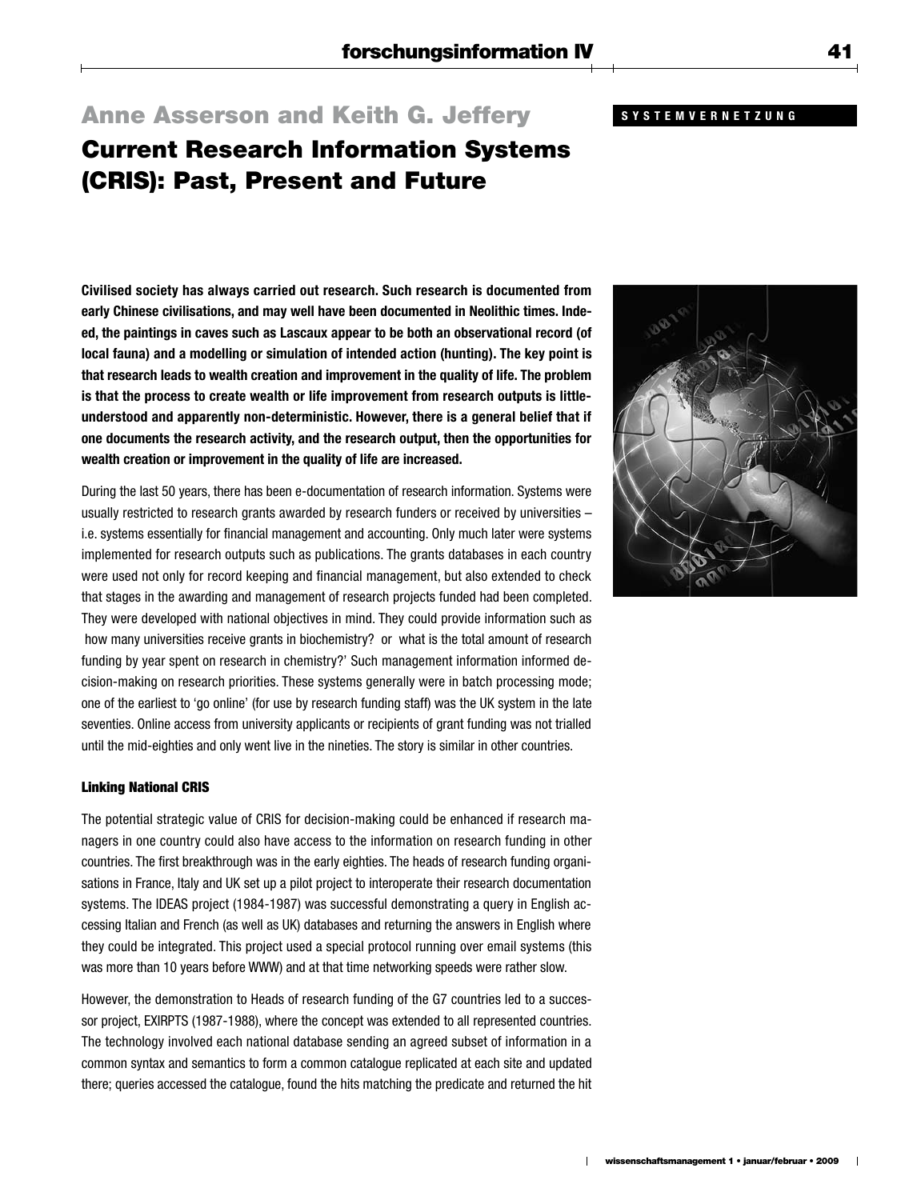# Anne Asserson and Keith G. Jeffery

# Current Research Information Systems (CRIS): Past, Present and Future

**Civilised society has always carried out research. Such research is documented from early Chinese civilisations, and may well have been documented in Neolithic times. Indeed, the paintings in caves such as Lascaux appear to be both an observational record (of local fauna) and a modelling or simulation of intended action (hunting). The key point is that research leads to wealth creation and improvement in the quality of life. The problem is that the process to create wealth or life improvement from research outputs is littleunderstood and apparently non-deterministic. However, there is a general belief that if one documents the research activity, and the research output, then the opportunities for wealth creation or improvement in the quality of life are increased.**

During the last 50 years, there has been e-documentation of research information. Systems were usually restricted to research grants awarded by research funders or received by universities – i.e. systems essentially for financial management and accounting. Only much later were systems implemented for research outputs such as publications. The grants databases in each country were used not only for record keeping and financial management, but also extended to check that stages in the awarding and management of research projects funded had been completed. They were developed with national objectives in mind. They could provide information such as how many universities receive grants in biochemistry? or what is the total amount of research funding by year spent on research in chemistry?' Such management information informed decision-making on research priorities. These systems generally were in batch processing mode; one of the earliest to 'go online' (for use by research funding staff) was the UK system in the late seventies. Online access from university applicants or recipients of grant funding was not trialled until the mid-eighties and only went live in the nineties. The story is similar in other countries.

# Linking National CRIS

The potential strategic value of CRIS for decision-making could be enhanced if research managers in one country could also have access to the information on research funding in other countries. The first breakthrough was in the early eighties. The heads of research funding organisations in France, Italy and UK set up a pilot project to interoperate their research documentation systems. The IDEAS project (1984-1987) was successful demonstrating a query in English accessing Italian and French (as well as UK) databases and returning the answers in English where they could be integrated. This project used a special protocol running over email systems (this was more than 10 years before WWW) and at that time networking speeds were rather slow.

However, the demonstration to Heads of research funding of the G7 countries led to a successor project, EXIRPTS (1987-1988), where the concept was extended to all represented countries. The technology involved each national database sending an agreed subset of information in a common syntax and semantics to form a common catalogue replicated at each site and updated there; queries accessed the catalogue, found the hits matching the predicate and returned the hit

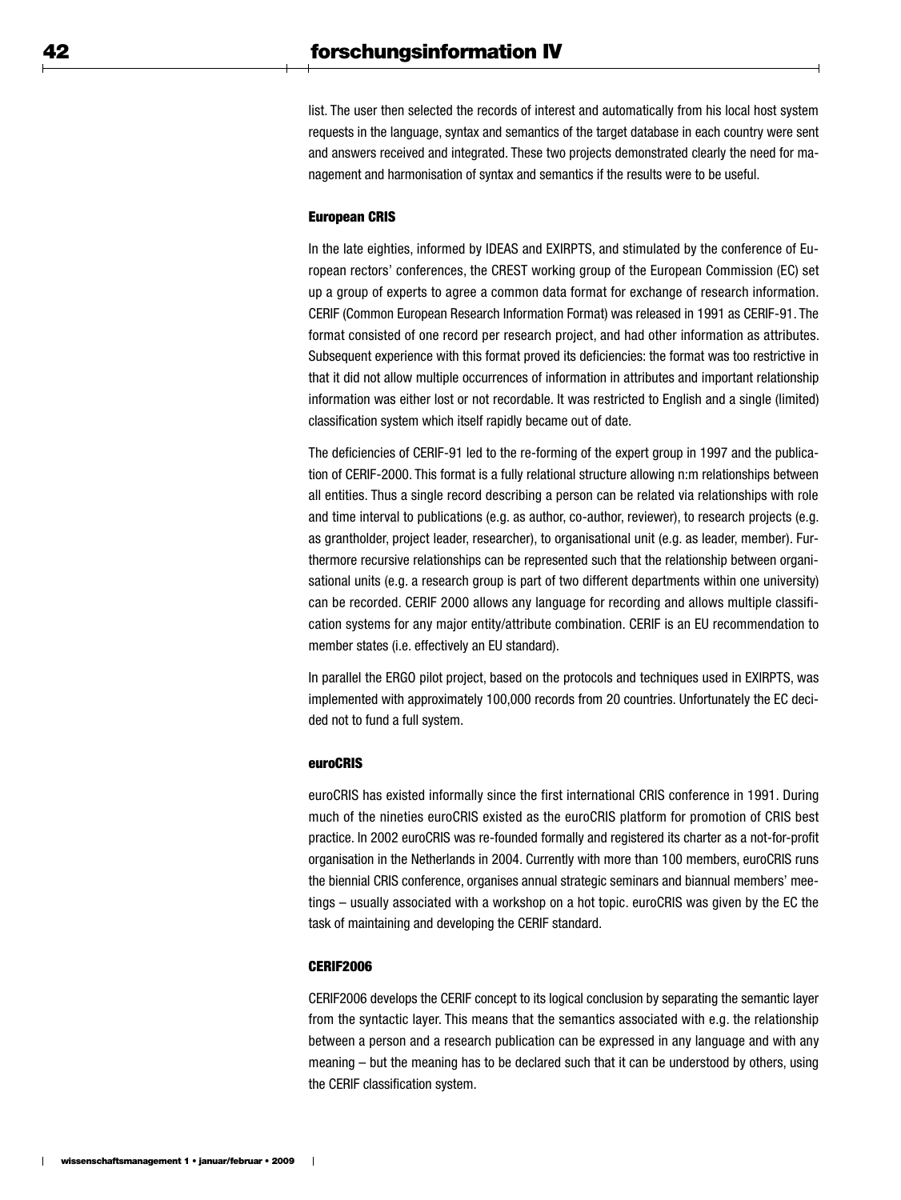list. The user then selected the records of interest and automatically from his local host system requests in the language, syntax and semantics of the target database in each country were sent and answers received and integrated. These two projects demonstrated clearly the need for management and harmonisation of syntax and semantics if the results were to be useful.

#### European CRIS

In the late eighties, informed by IDEAS and EXIRPTS, and stimulated by the conference of European rectors' conferences, the CREST working group of the European Commission (EC) set up a group of experts to agree a common data format for exchange of research information. CERIF (Common European Research Information Format) was released in 1991 as CERIF-91. The format consisted of one record per research project, and had other information as attributes. Subsequent experience with this format proved its deficiencies: the format was too restrictive in that it did not allow multiple occurrences of information in attributes and important relationship information was either lost or not recordable. It was restricted to English and a single (limited) classification system which itself rapidly became out of date.

The deficiencies of CERIF-91 led to the re-forming of the expert group in 1997 and the publication of CERIF-2000. This format is a fully relational structure allowing n:m relationships between all entities. Thus a single record describing a person can be related via relationships with role and time interval to publications (e.g. as author, co-author, reviewer), to research projects (e.g. as grantholder, project leader, researcher), to organisational unit (e.g. as leader, member). Furthermore recursive relationships can be represented such that the relationship between organisational units (e.g. a research group is part of two different departments within one university) can be recorded. CERIF 2000 allows any language for recording and allows multiple classification systems for any major entity/attribute combination. CERIF is an EU recommendation to member states (i.e. effectively an EU standard).

In parallel the ERGO pilot project, based on the protocols and techniques used in EXIRPTS, was implemented with approximately 100,000 records from 20 countries. Unfortunately the EC decided not to fund a full system.

# euroCRIS

euroCRIS has existed informally since the first international CRIS conference in 1991. During much of the nineties euroCRIS existed as the euroCRIS platform for promotion of CRIS best practice. In 2002 euroCRIS was re-founded formally and registered its charter as a not-for-profit organisation in the Netherlands in 2004. Currently with more than 100 members, euroCRIS runs the biennial CRIS conference, organises annual strategic seminars and biannual members' meetings – usually associated with a workshop on a hot topic. euroCRIS was given by the EC the task of maintaining and developing the CERIF standard.

#### CERIF2006

CERIF2006 develops the CERIF concept to its logical conclusion by separating the semantic layer from the syntactic layer. This means that the semantics associated with e.g. the relationship between a person and a research publication can be expressed in any language and with any meaning – but the meaning has to be declared such that it can be understood by others, using the CERIF classification system.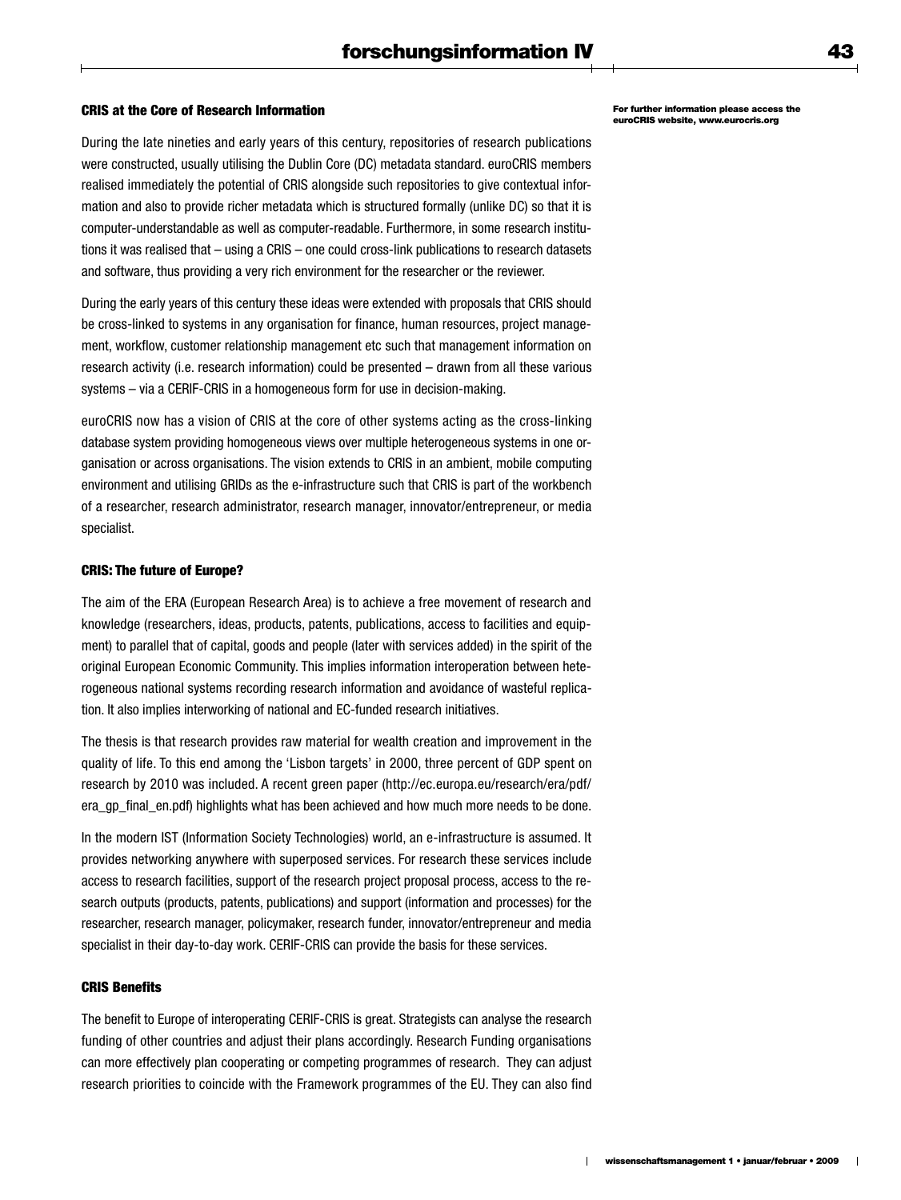# CRIS at the Core of Research Information

During the late nineties and early years of this century, repositories of research publications were constructed, usually utilising the Dublin Core (DC) metadata standard. euroCRIS members realised immediately the potential of CRIS alongside such repositories to give contextual information and also to provide richer metadata which is structured formally (unlike DC) so that it is computer-understandable as well as computer-readable. Furthermore, in some research institutions it was realised that – using a CRIS – one could cross-link publications to research datasets and software, thus providing a very rich environment for the researcher or the reviewer.

During the early years of this century these ideas were extended with proposals that CRIS should be cross-linked to systems in any organisation for finance, human resources, project management, workflow, customer relationship management etc such that management information on research activity (i.e. research information) could be presented – drawn from all these various systems – via a CERIF-CRIS in a homogeneous form for use in decision-making.

euroCRIS now has a vision of CRIS at the core of other systems acting as the cross-linking database system providing homogeneous views over multiple heterogeneous systems in one organisation or across organisations. The vision extends to CRIS in an ambient, mobile computing environment and utilising GRIDs as the e-infrastructure such that CRIS is part of the workbench of a researcher, research administrator, research manager, innovator/entrepreneur, or media specialist.

## CRIS: The future of Europe?

The aim of the ERA (European Research Area) is to achieve a free movement of research and knowledge (researchers, ideas, products, patents, publications, access to facilities and equipment) to parallel that of capital, goods and people (later with services added) in the spirit of the original European Economic Community. This implies information interoperation between heterogeneous national systems recording research information and avoidance of wasteful replication. It also implies interworking of national and EC-funded research initiatives.

The thesis is that research provides raw material for wealth creation and improvement in the quality of life. To this end among the 'Lisbon targets' in 2000, three percent of GDP spent on research by 2010 was included. A recent green paper (http://ec.europa.eu/research/era/pdf/ era\_gp\_final\_en.pdf) highlights what has been achieved and how much more needs to be done.

In the modern IST (Information Society Technologies) world, an e-infrastructure is assumed. It provides networking anywhere with superposed services. For research these services include access to research facilities, support of the research project proposal process, access to the research outputs (products, patents, publications) and support (information and processes) for the researcher, research manager, policymaker, research funder, innovator/entrepreneur and media specialist in their day-to-day work. CERIF-CRIS can provide the basis for these services.

# CRIS Benefits

The benefit to Europe of interoperating CERIF-CRIS is great. Strategists can analyse the research funding of other countries and adjust their plans accordingly. Research Funding organisations can more effectively plan cooperating or competing programmes of research. They can adjust research priorities to coincide with the Framework programmes of the EU. They can also find For further information please access the euroCRIS website, www.eurocris.org